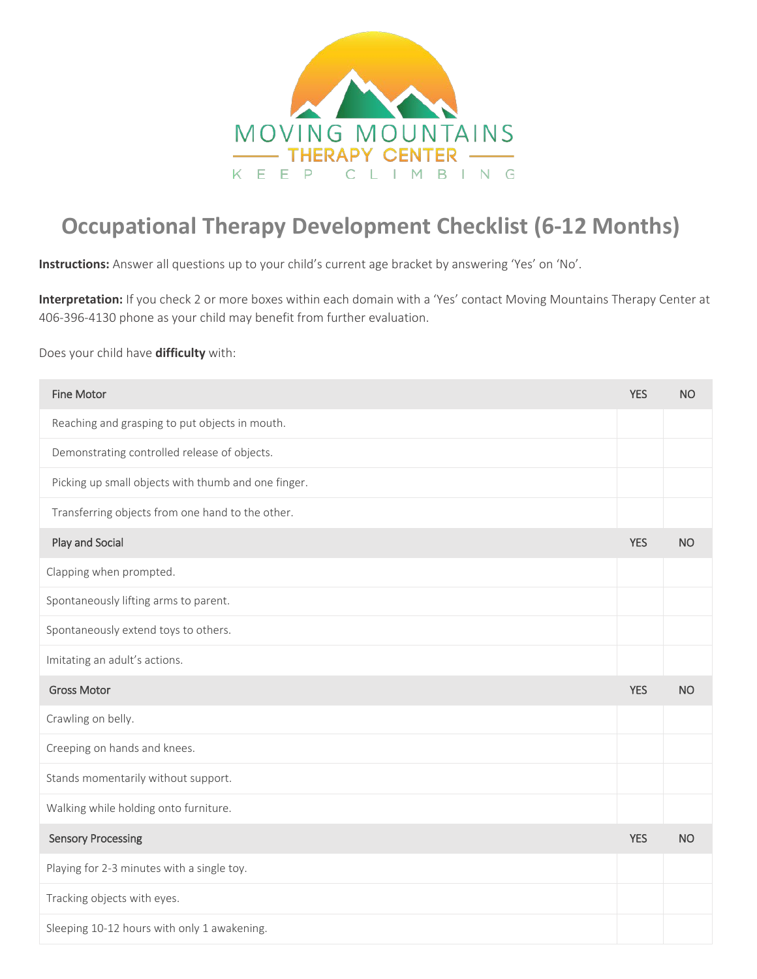

## **Occupational Therapy Development Checklist (6-12 Months)**

**Instructions:** Answer all questions up to your child's current age bracket by answering 'Yes' on 'No'.

**Interpretation:** If you check 2 or more boxes within each domain with a 'Yes' contact Moving Mountains Therapy Center at 406-396-4130 phone as your child may benefit from further evaluation.

## Does your child have **difficulty** with:

| <b>Fine Motor</b>                                   | <b>YES</b> | <b>NO</b> |
|-----------------------------------------------------|------------|-----------|
| Reaching and grasping to put objects in mouth.      |            |           |
| Demonstrating controlled release of objects.        |            |           |
| Picking up small objects with thumb and one finger. |            |           |
| Transferring objects from one hand to the other.    |            |           |
| Play and Social                                     | <b>YES</b> | <b>NO</b> |
| Clapping when prompted.                             |            |           |
| Spontaneously lifting arms to parent.               |            |           |
| Spontaneously extend toys to others.                |            |           |
| Imitating an adult's actions.                       |            |           |
| <b>Gross Motor</b>                                  | <b>YES</b> | <b>NO</b> |
| Crawling on belly.                                  |            |           |
| Creeping on hands and knees.                        |            |           |
| Stands momentarily without support.                 |            |           |
| Walking while holding onto furniture.               |            |           |
| <b>Sensory Processing</b>                           | <b>YES</b> | <b>NO</b> |
| Playing for 2-3 minutes with a single toy.          |            |           |
| Tracking objects with eyes.                         |            |           |
| Sleeping 10-12 hours with only 1 awakening.         |            |           |